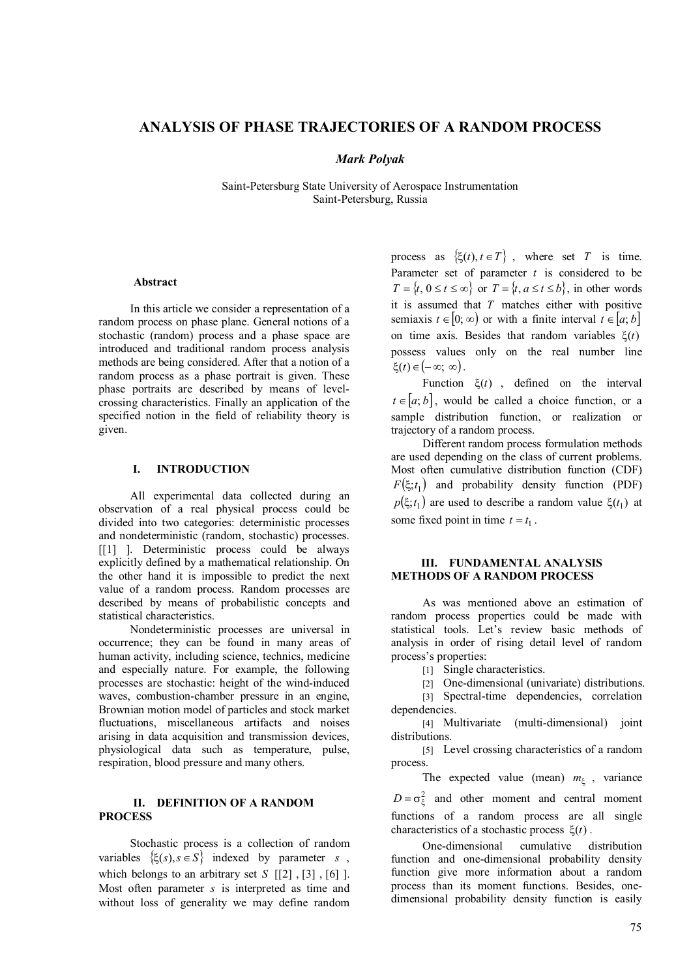# **ANALYSIS OF PHASE TRAJECTORIES OF A RANDOM PROCESS**

### *Mark Polyak*

Saint-Petersburg State University of Aerospace Instrumentation Saint-Petersburg, Russia

#### **Abstract**

In this article we consider a representation of a random process on phase plane. General notions of a stochastic (random) process and a phase space are introduced and traditional random process analysis methods are being considered. After that a notion of a random process as a phase portrait is given. These phase portraits are described by means of levelcrossing characteristics. Finally an application of the specified notion in the field of reliability theory is given.

## **I. INTRODUCTION**

All experimental data collected during an observation of a real physical process could be divided into two categories: deterministic processes and nondeterministic (random, stochastic) processes. [[1] ]. Deterministic process could be always explicitly defined by a mathematical relationship. On the other hand it is impossible to predict the next value of a random process. Random processes are described by means of probabilistic concepts and statistical characteristics.

Nondeterministic processes are universal in occurrence; they can be found in many areas of human activity, including science, technics, medicine and especially nature. For example, the following processes are stochastic: height of the wind-induced waves, combustion-chamber pressure in an engine, Brownian motion model of particles and stock market fluctuations, miscellaneous artifacts and noises arising in data acquisition and transmission devices, physiological data such as temperature, pulse, respiration, blood pressure and many others.

## **II. DEFINITION OF A RANDOM PROCESS**

Stochastic process is a collection of random variables  $\{\xi(s), s \in S\}$  indexed by parameter *s*, which belongs to an arbitrary set  $S$  [[2], [3], [6] ]. Most often parameter *s* is interpreted as time and without loss of generality we may define random

process as  $\{\xi(t), t \in T\}$ , where set *T* is time. Parameter set of parameter *t* is considered to be  $T = \{t, 0 \le t \le \infty\}$  or  $T = \{t, a \le t \le b\}$ , in other words it is assumed that *T* matches either with positive semiaxis  $t \in [0; \infty)$  or with a finite interval  $t \in [a; b]$ on time axis. Besides that random variables  $\xi(t)$ possess values only on the real number line  $\xi(t) \in (-\infty; \infty)$ .

Function  $\xi(t)$ , defined on the interval  $t \in [a, b]$ , would be called a choice function, or a sample distribution function, or realization or trajectory of a random process.

Different random process formulation methods are used depending on the class of current problems. Most often cumulative distribution function (CDF)  $F(\xi; t_1)$  and probability density function (PDF)  $p(\xi; t_1)$  are used to describe a random value  $\xi(t_1)$  at some fixed point in time  $t = t_1$ .

### **III. FUNDAMENTAL ANALYSIS METHODS OF A RANDOM PROCESS**

As was mentioned above an estimation of random process properties could be made with statistical tools. Let's review basic methods of analysis in order of rising detail level of random process's properties:

[1] Single characteristics.

[2] One-dimensional (univariate) distributions.

[3] Spectral-time dependencies, correlation dependencies.

[4] Multivariate (multi-dimensional) joint distributions.

[5] Level crossing characteristics of a random process.

The expected value (mean)  $m_{\xi}$ , variance

 $D = \sigma_{\xi}^2$  and other moment and central moment functions of a random process are all single characteristics of a stochastic process  $\xi(t)$ .

One-dimensional cumulative distribution function and one-dimensional probability density function give more information about a random process than its moment functions. Besides, onedimensional probability density function is easily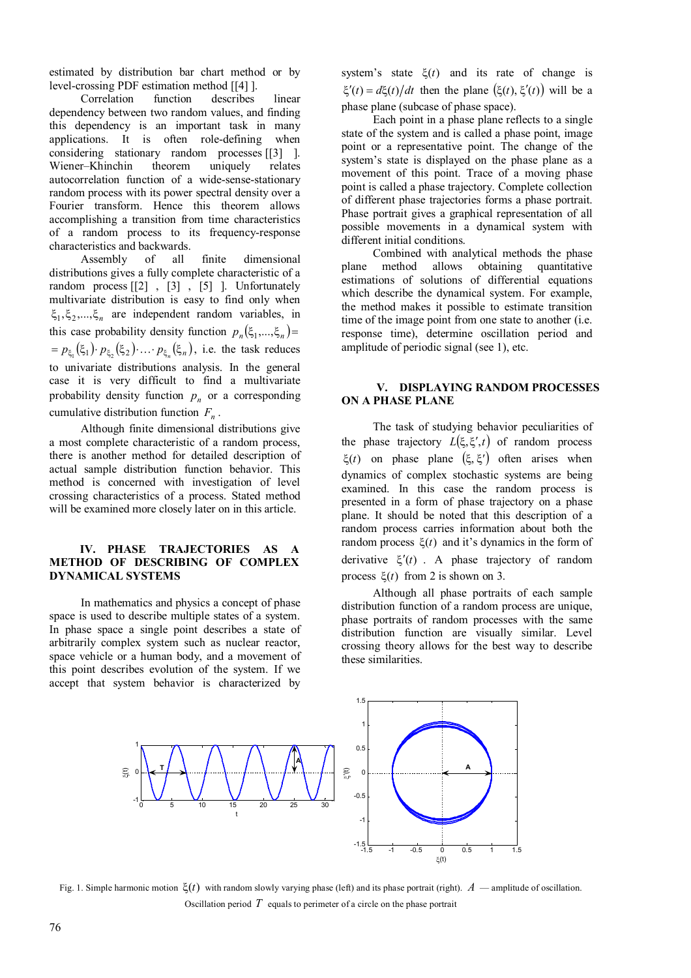estimated by distribution bar chart method or by level-crossing PDF estimation method [[4] ].

Correlation function describes linear dependency between two random values, and finding this dependency is an important task in many applications. It is often role-defining when considering stationary random processes [[3] ]. Wiener–Khinchin theorem uniquely relates autocorrelation function of a wide-sense-stationary random process with its power spectral density over a Fourier transform. Hence this theorem allows accomplishing a transition from time characteristics of a random process to its frequency-response characteristics and backwards.

Assembly of all finite dimensional distributions gives a fully complete characteristic of a random process [[2] , [3] , [5] ]. Unfortunately multivariate distribution is easy to find only when  $\xi_1, \xi_2, \ldots, \xi_n$  are independent random variables, in this case probability density function  $p_n(\xi_1,...,\xi_n)$  $= p_{\xi_1}(\xi_1) \cdot p_{\xi_2}(\xi_2) \cdot ... \cdot p_{\xi_n}(\xi_n)$ , i.e. the task reduces to univariate distributions analysis. In the general case it is very difficult to find a multivariate probability density function  $p_n$  or a corresponding cumulative distribution function *F<sup>n</sup>* .

Although finite dimensional distributions give a most complete characteristic of a random process, there is another method for detailed description of actual sample distribution function behavior. This method is concerned with investigation of level crossing characteristics of a process. Stated method will be examined more closely later on in this article.

### **IV. PHASE TRAJECTORIES AS A METHOD OF DESCRIBING OF COMPLEX DYNAMICAL SYSTEMS**

In mathematics and physics a concept of phase space is used to describe multiple states of a system. In phase space a single point describes a state of arbitrarily complex system such as nuclear reactor, space vehicle or a human body, and a movement of this point describes evolution of the system. If we accept that system behavior is characterized by system's state  $\xi(t)$  and its rate of change is  $\xi'(t) = d\xi(t)/dt$  then the plane  $(\xi(t), \xi'(t))$  will be a phase plane (subcase of phase space).

Each point in a phase plane reflects to a single state of the system and is called a phase point, image point or a representative point. The change of the system's state is displayed on the phase plane as a movement of this point. Trace of a moving phase point is called a phase trajectory. Complete collection of different phase trajectories forms a phase portrait. Phase portrait gives a graphical representation of all possible movements in a dynamical system with different initial conditions.

Combined with analytical methods the phase plane method allows obtaining quantitative estimations of solutions of differential equations which describe the dynamical system. For example, the method makes it possible to estimate transition time of the image point from one state to another (i.e. response time), determine oscillation period and amplitude of periodic signal (see 1), etc.

## **V. DISPLAYING RANDOM PROCESSES ON A PHASE PLANE**

The task of studying behavior peculiarities of the phase trajectory  $L(\xi, \xi', t)$  of random process  $\xi(t)$  on phase plane  $(\xi, \xi')$  often arises when dynamics of complex stochastic systems are being examined. In this case the random process is presented in a form of phase trajectory on a phase plane. It should be noted that this description of a random process carries information about both the random process  $\xi(t)$  and it's dynamics in the form of derivative  $\xi'(t)$ . A phase trajectory of random process  $\xi(t)$  from 2 is shown on 3.

Although all phase portraits of each sample distribution function of a random process are unique, phase portraits of random processes with the same distribution function are visually similar. Level crossing theory allows for the best way to describe these similarities.



Fig. 1. Simple harmonic motion  $\xi(t)$  with random slowly varying phase (left) and its phase portrait (right).  $A$  — amplitude of oscillation. Oscillation period  $T$  equals to perimeter of a circle on the phase portrait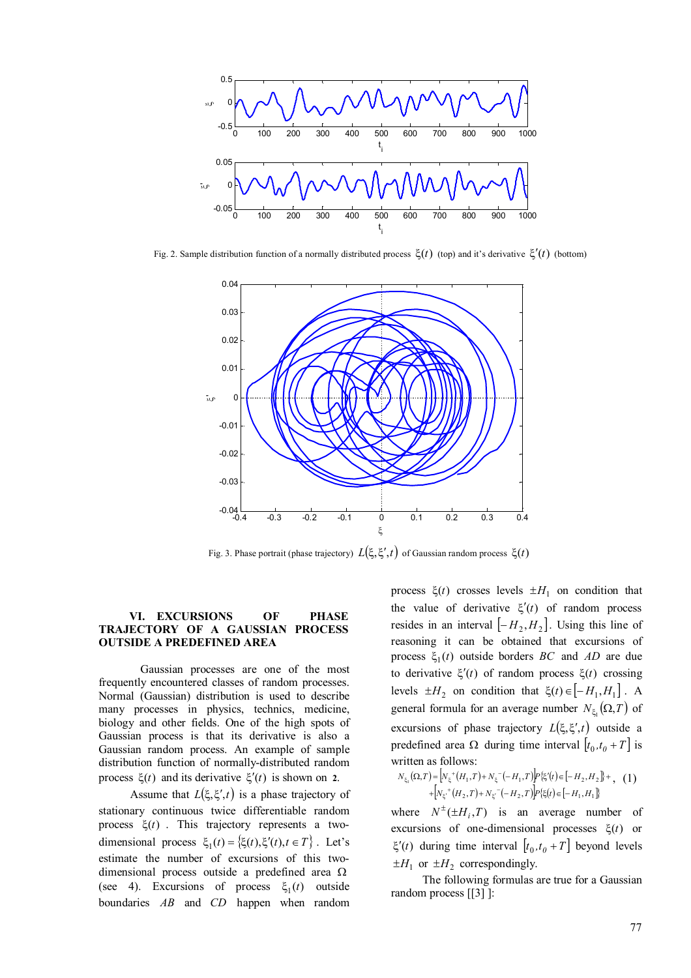

Fig. 2. Sample distribution function of a normally distributed process  $\xi(t)$  (top) and it's derivative  $\xi'(t)$  (bottom)



Fig. 3. Phase portrait (phase trajectory)  $L(\xi, \xi', t)$  of Gaussian random process  $\xi(t)$ 

### **VI. EXCURSIONS OF PHASE TRAJECTORY OF A GAUSSIAN PROCESS OUTSIDE A PREDEFINED AREA**

Gaussian processes are one of the most frequently encountered classes of random processes. Normal (Gaussian) distribution is used to describe many processes in physics, technics, medicine, biology and other fields. One of the high spots of Gaussian process is that its derivative is also a Gaussian random process. An example of sample distribution function of normally-distributed random process  $\xi(t)$  and its derivative  $\xi'(t)$  is shown on 2.

Assume that  $L(\xi, \xi', t)$  is a phase trajectory of stationary continuous twice differentiable random process  $\xi(t)$ . This trajectory represents a twodimensional process  $\xi_1(t) = \{\xi(t),\xi'(t),t \in T\}$ . Let's estimate the number of excursions of this twodimensional process outside a predefined area  $\Omega$ (see 4). Excursions of process  $\xi_1(t)$  outside boundaries *AB* and *CD* happen when random

process  $\xi(t)$  crosses levels  $\pm H_1$  on condition that the value of derivative  $\xi'(t)$  of random process resides in an interval  $\left[-H_2, H_2\right]$ . Using this line of reasoning it can be obtained that excursions of process  $\xi_1(t)$  outside borders *BC* and *AD* are due to derivative  $\xi'(t)$  of random process  $\xi(t)$  crossing levels  $\pm H_2$  on condition that  $\xi(t) \in [-H_1, H_1]$ . A general formula for an average number  $N_{\xi_1}(\Omega, T)$  of excursions of phase trajectory  $L(\xi, \xi', t)$  outside a predefined area  $\Omega$  during time interval  $[t_0, t_0 + T]$  is written as follows:

$$
N_{\xi_1}(\Omega, T) = \left[ N_{\xi}^+(H_1, T) + N_{\xi}^-(-H_1, T) \right] P\{\xi'(t) \in [-H_2, H_2] \} + \, (1)
$$
  
+ 
$$
\left[ N_{\xi'}^+(H_2, T) + N_{\xi}^-(-H_2, T) \right] P\{\xi(t) \in [-H_1, H_1] \}
$$

where  $N^{\pm}(\pm H_i, T)$  is an average number of excursions of one-dimensional processes  $\xi(t)$  or  $\xi'(t)$  during time interval  $[t_0, t_0 + T]$  beyond levels  $\pm H_1$  or  $\pm H_2$  correspondingly.

The following formulas are true for a Gaussian random process [[3] ]: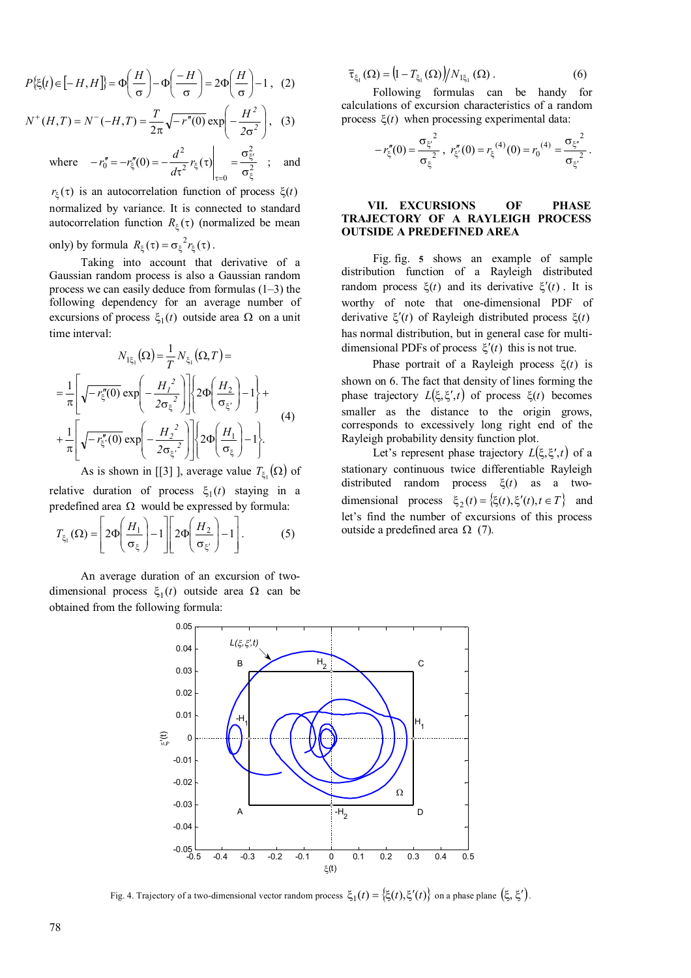$$
P\{\xi(t) \in [-H, H]\} = \Phi\left(\frac{H}{\sigma}\right) - \Phi\left(\frac{-H}{\sigma}\right) = 2\Phi\left(\frac{H}{\sigma}\right) - 1, (2)
$$
  

$$
N^+(H, T) = N^-(-H, T) = \frac{T}{\sigma} \sqrt{-r''(0)} \exp\left(-\frac{H^2}{\sigma^2}\right), (3)
$$

where 
$$
-r_0'' = -r_{\xi}''(0) = -\frac{d^2}{d\tau^2} r_{\xi}(\tau) \Big|_{\tau=0} = \frac{\sigma_{\xi'}^2}{\sigma_{\xi}^2}
$$
; and

 $\sigma_{\xi}$  σ $\frac{Z}{Z}$  $r_{\xi}(\tau)$  is an autocorrelation function of process  $\xi(t)$ normalized by variance. It is connected to standard autocorrelation function  $R_{\xi}(\tau)$  (normalized be mean

only) by formula  $R_{\xi}(\tau) = \sigma_{\xi}^2 r_{\xi}(\tau)$ .

Taking into account that derivative of a Gaussian random process is also a Gaussian random process we can easily deduce from formulas (1–3) the following dependency for an average number of excursions of process  $\xi_1(t)$  outside area  $\Omega$  on a unit time interval:

$$
N_{1\xi_1}(\Omega) = \frac{1}{T} N_{\xi_1}(\Omega, T) =
$$
  
= 
$$
\frac{1}{\pi} \left[ \sqrt{-r_{\xi}''(0)} \exp\left(-\frac{H_1^2}{2\sigma_{\xi}^2}\right) \right] \left\{ 2\Phi\left(\frac{H_2}{\sigma_{\xi'}}\right) - 1 \right\} +
$$
  
+ 
$$
\frac{1}{\pi} \left[ \sqrt{-r_{\xi}''(0)} \exp\left(-\frac{H_2^2}{2\sigma_{\xi'}}\right) \right] \left\{ 2\Phi\left(\frac{H_1}{\sigma_{\xi}}\right) - 1 \right\}.
$$
 (4)

As is shown in [[3] ], average value  $T_{\xi_1}(\Omega)$  of

relative duration of process  $\xi_1(t)$  staying in a predefined area  $\Omega$  would be expressed by formula:

$$
T_{\xi_1}(\Omega) = \left[2\Phi\left(\frac{H_1}{\sigma_{\xi}}\right) - 1\right] \left[2\Phi\left(\frac{H_2}{\sigma_{\xi'}}\right) - 1\right].
$$
 (5)

An average duration of an excursion of twodimensional process  $\xi_1(t)$  outside area  $\Omega$  can be obtained from the following formula:

$$
\overline{\tau}_{\xi_1}(\Omega) = (1 - T_{\xi_1}(\Omega)) / N_{1\xi_1}(\Omega).
$$
 (6)

Following formulas can be handy for calculations of excursion characteristics of a random process  $\xi(t)$  when processing experimental data:

$$
-r''_{\xi}(0) = \frac{{\sigma_{\xi'}}^2}{\sigma_{\xi}^2}, r''_{\xi'}(0) = r_{\xi}^{(4)}(0) = r_0^{(4)} = \frac{{\sigma_{\xi'}}^2}{\sigma_{\xi'}}^2.
$$

## **VII. EXCURSIONS OF PHASE TRAJECTORY OF A RAYLEIGH PROCESS OUTSIDE A PREDEFINED AREA**

Fig. fig. **5** shows an example of sample distribution function of a Rayleigh distributed random process  $\xi(t)$  and its derivative  $\xi'(t)$ . It is worthy of note that one-dimensional PDF of derivative  $\xi'(t)$  of Rayleigh distributed process  $\xi(t)$ has normal distribution, but in general case for multidimensional PDFs of process  $\xi'(t)$  this is not true.

Phase portrait of a Rayleigh process  $\xi(t)$  is shown on 6. The fact that density of lines forming the phase trajectory  $L(\xi, \xi', t)$  of process  $\xi(t)$  becomes smaller as the distance to the origin grows, corresponds to excessively long right end of the Rayleigh probability density function plot.

Let's represent phase trajectory  $L(\xi, \xi', t)$  of a stationary continuous twice differentiable Rayleigh distributed random process  $\xi(t)$  as a twodimensional process  $\xi_2(t) = \{\xi(t),\xi'(t),t \in T\}$  and let's find the number of excursions of this process outside a predefined area  $\Omega$  (7).



Fig. 4. Trajectory of a two-dimensional vector random process  $\xi_1(t) = {\xi(t), \xi'(t)}$  on a phase plane  $(\xi, \xi')$ .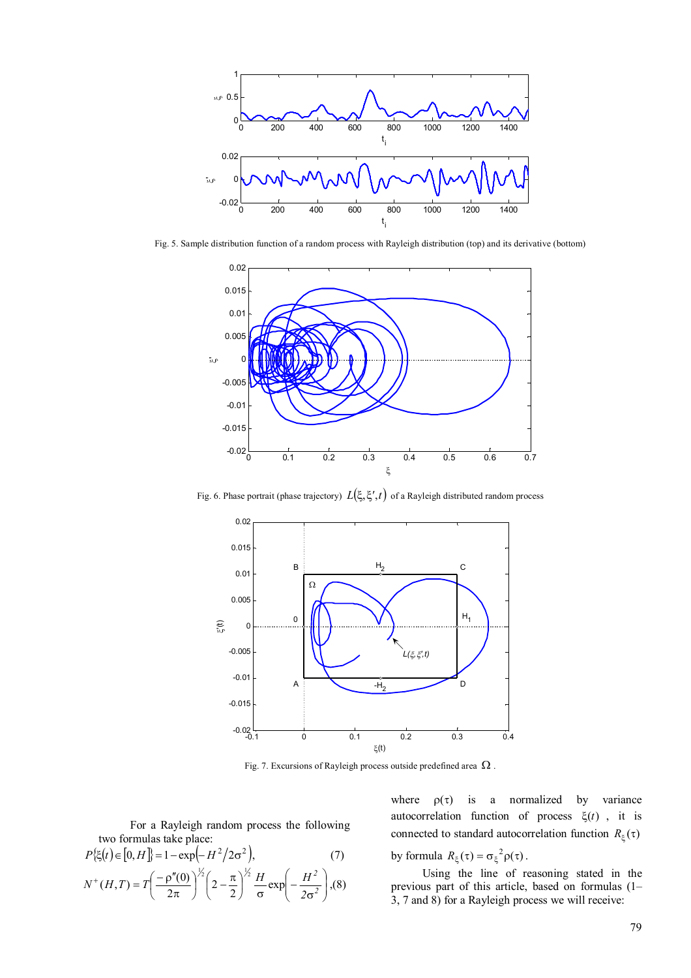

Fig. 5. Sample distribution function of a random process with Rayleigh distribution (top) and its derivative (bottom)



Fig. 6. Phase portrait (phase trajectory)  $L(\xi, \xi', t)$  of a Rayleigh distributed random process



Fig. 7. Excursions of Rayleigh process outside predefined area  $\Omega$ .

For a Rayleigh random process the following two formulas take place:

$$
P\{\xi(t) \in [0, H]\} = 1 - \exp(-H^2/2\sigma^2),\tag{7}
$$

$$
N^+(H, T) = T\left(\frac{-\rho''(0)}{2\pi}\right)^{\frac{1}{2}} \left(2 - \frac{\pi}{2}\right)^{\frac{1}{2}} \frac{H}{\sigma} \exp\left(-\frac{H^2}{2\sigma^2}\right),\tag{8}
$$

where  $\rho(\tau)$  is a normalized by variance autocorrelation function of process  $\xi(t)$ , it is connected to standard autocorrelation function  $R_{\varepsilon}(\tau)$ by formula  $R_{\xi}(\tau) = \sigma_{\xi}^2 \rho(\tau)$ .

Using the line of reasoning stated in the previous part of this article, based on formulas (1– 3, 7 and 8) for a Rayleigh process we will receive: